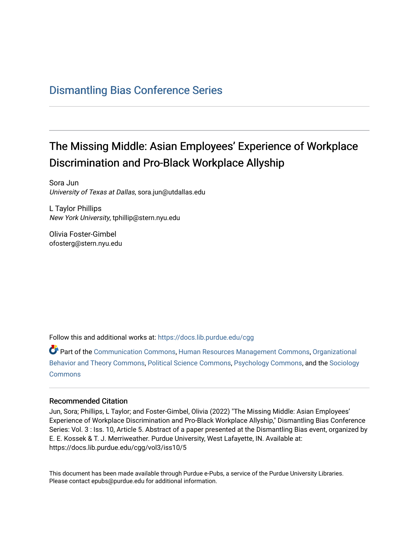### [Dismantling Bias Conference Series](https://docs.lib.purdue.edu/cgg)

# The Missing Middle: Asian Employees' Experience of Workplace Discrimination and Pro-Black Workplace Allyship

Sora Jun University of Texas at Dallas, sora.jun@utdallas.edu

L Taylor Phillips New York University, tphillip@stern.nyu.edu

Olivia Foster-Gimbel ofosterg@stern.nyu.edu

Follow this and additional works at: [https://docs.lib.purdue.edu/cgg](https://docs.lib.purdue.edu/cgg?utm_source=docs.lib.purdue.edu%2Fcgg%2Fvol3%2Fiss10%2F5&utm_medium=PDF&utm_campaign=PDFCoverPages)

Part of the [Communication Commons,](https://network.bepress.com/hgg/discipline/325?utm_source=docs.lib.purdue.edu%2Fcgg%2Fvol3%2Fiss10%2F5&utm_medium=PDF&utm_campaign=PDFCoverPages) [Human Resources Management Commons,](https://network.bepress.com/hgg/discipline/633?utm_source=docs.lib.purdue.edu%2Fcgg%2Fvol3%2Fiss10%2F5&utm_medium=PDF&utm_campaign=PDFCoverPages) [Organizational](https://network.bepress.com/hgg/discipline/639?utm_source=docs.lib.purdue.edu%2Fcgg%2Fvol3%2Fiss10%2F5&utm_medium=PDF&utm_campaign=PDFCoverPages) [Behavior and Theory Commons,](https://network.bepress.com/hgg/discipline/639?utm_source=docs.lib.purdue.edu%2Fcgg%2Fvol3%2Fiss10%2F5&utm_medium=PDF&utm_campaign=PDFCoverPages) [Political Science Commons,](https://network.bepress.com/hgg/discipline/386?utm_source=docs.lib.purdue.edu%2Fcgg%2Fvol3%2Fiss10%2F5&utm_medium=PDF&utm_campaign=PDFCoverPages) [Psychology Commons,](https://network.bepress.com/hgg/discipline/404?utm_source=docs.lib.purdue.edu%2Fcgg%2Fvol3%2Fiss10%2F5&utm_medium=PDF&utm_campaign=PDFCoverPages) and the [Sociology](https://network.bepress.com/hgg/discipline/416?utm_source=docs.lib.purdue.edu%2Fcgg%2Fvol3%2Fiss10%2F5&utm_medium=PDF&utm_campaign=PDFCoverPages) **[Commons](https://network.bepress.com/hgg/discipline/416?utm_source=docs.lib.purdue.edu%2Fcgg%2Fvol3%2Fiss10%2F5&utm_medium=PDF&utm_campaign=PDFCoverPages)** 

#### Recommended Citation

Jun, Sora; Phillips, L Taylor; and Foster-Gimbel, Olivia (2022) "The Missing Middle: Asian Employees' Experience of Workplace Discrimination and Pro-Black Workplace Allyship," Dismantling Bias Conference Series: Vol. 3 : Iss. 10, Article 5. Abstract of a paper presented at the Dismantling Bias event, organized by E. E. Kossek & T. J. Merriweather. Purdue University, West Lafayette, IN. Available at: https://docs.lib.purdue.edu/cgg/vol3/iss10/5

This document has been made available through Purdue e-Pubs, a service of the Purdue University Libraries. Please contact epubs@purdue.edu for additional information.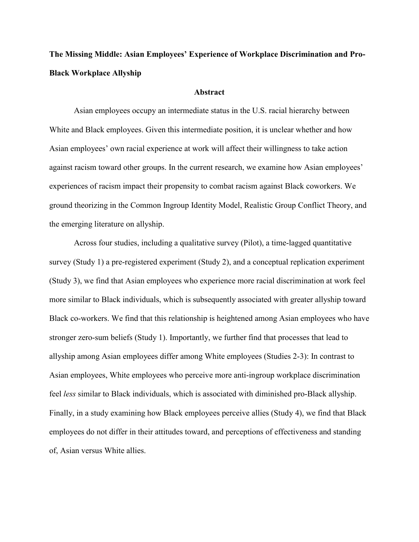## **The Missing Middle: Asian Employees' Experience of Workplace Discrimination and Pro-Black Workplace Allyship**

#### **Abstract**

 against racism toward other groups. In the current research, we examine how Asian employees' experiences of racism impact their propensity to combat racism against Black coworkers. We ground theorizing in the Common Ingroup Identity Model, Realistic Group Conflict Theory, and Asian employees occupy an intermediate status in the U.S. racial hierarchy between White and Black employees. Given this intermediate position, it is unclear whether and how Asian employees' own racial experience at work will affect their willingness to take action the emerging literature on allyship.

 more similar to Black individuals, which is subsequently associated with greater allyship toward allyship among Asian employees differ among White employees (Studies 2-3): In contrast to Finally, in a study examining how Black employees perceive allies (Study 4), we find that Black Across four studies, including a qualitative survey (Pilot), a time-lagged quantitative survey (Study 1) a pre-registered experiment (Study 2), and a conceptual replication experiment (Study 3), we find that Asian employees who experience more racial discrimination at work feel Black co-workers. We find that this relationship is heightened among Asian employees who have stronger zero-sum beliefs (Study 1). Importantly, we further find that processes that lead to Asian employees, White employees who perceive more anti-ingroup workplace discrimination feel *less* similar to Black individuals, which is associated with diminished pro-Black allyship. employees do not differ in their attitudes toward, and perceptions of effectiveness and standing of, Asian versus White allies.